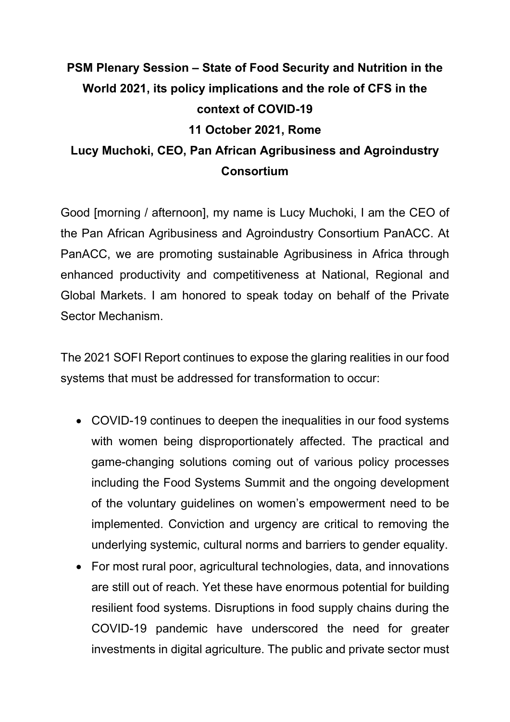## **PSM Plenary Session – State of Food Security and Nutrition in the World 2021, its policy implications and the role of CFS in the context of COVID-19 11 October 2021, Rome Lucy Muchoki, CEO, Pan African Agribusiness and Agroindustry Consortium**

Good [morning / afternoon], my name is Lucy Muchoki, I am the CEO of the Pan African Agribusiness and Agroindustry Consortium PanACC. At PanACC, we are promoting sustainable Agribusiness in Africa through enhanced productivity and competitiveness at National, Regional and Global Markets. I am honored to speak today on behalf of the Private Sector Mechanism.

The 2021 SOFI Report continues to expose the glaring realities in our food systems that must be addressed for transformation to occur:

- COVID-19 continues to deepen the inequalities in our food systems with women being disproportionately affected. The practical and game-changing solutions coming out of various policy processes including the Food Systems Summit and the ongoing development of the voluntary guidelines on women's empowerment need to be implemented. Conviction and urgency are critical to removing the underlying systemic, cultural norms and barriers to gender equality.
- For most rural poor, agricultural technologies, data, and innovations are still out of reach. Yet these have enormous potential for building resilient food systems. Disruptions in food supply chains during the COVID-19 pandemic have underscored the need for greater investments in digital agriculture. The public and private sector must